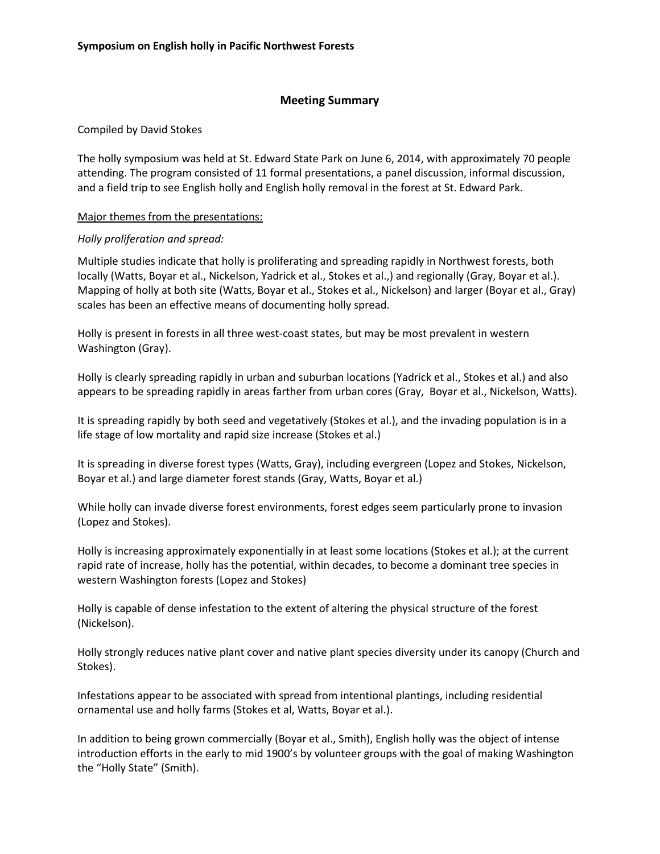# **Meeting Summary**

Compiled by David Stokes

The holly symposium was held at St. Edward State Park on June 6, 2014, with approximately 70 people attending. The program consisted of 11 formal presentations, a panel discussion, informal discussion, and a field trip to see English holly and English holly removal in the forest at St. Edward Park.

## Major themes from the presentations:

# *Holly proliferation and spread:*

Multiple studies indicate that holly is proliferating and spreading rapidly in Northwest forests, both locally (Watts, Boyar et al., Nickelson, Yadrick et al., Stokes et al.,) and regionally (Gray, Boyar et al.). Mapping of holly at both site (Watts, Boyar et al., Stokes et al., Nickelson) and larger (Boyar et al., Gray) scales has been an effective means of documenting holly spread.

Holly is present in forests in all three west-coast states, but may be most prevalent in western Washington (Gray).

Holly is clearly spreading rapidly in urban and suburban locations (Yadrick et al., Stokes et al.) and also appears to be spreading rapidly in areas farther from urban cores (Gray, Boyar et al., Nickelson, Watts).

It is spreading rapidly by both seed and vegetatively (Stokes et al.), and the invading population is in a life stage of low mortality and rapid size increase (Stokes et al.)

It is spreading in diverse forest types (Watts, Gray), including evergreen (Lopez and Stokes, Nickelson, Boyar et al.) and large diameter forest stands (Gray, Watts, Boyar et al.)

While holly can invade diverse forest environments, forest edges seem particularly prone to invasion (Lopez and Stokes).

Holly is increasing approximately exponentially in at least some locations (Stokes et al.); at the current rapid rate of increase, holly has the potential, within decades, to become a dominant tree species in western Washington forests (Lopez and Stokes)

Holly is capable of dense infestation to the extent of altering the physical structure of the forest (Nickelson).

Holly strongly reduces native plant cover and native plant species diversity under its canopy (Church and Stokes).

Infestations appear to be associated with spread from intentional plantings, including residential ornamental use and holly farms (Stokes et al, Watts, Boyar et al.).

In addition to being grown commercially (Boyar et al., Smith), English holly was the object of intense introduction efforts in the early to mid 1900's by volunteer groups with the goal of making Washington the "Holly State" (Smith).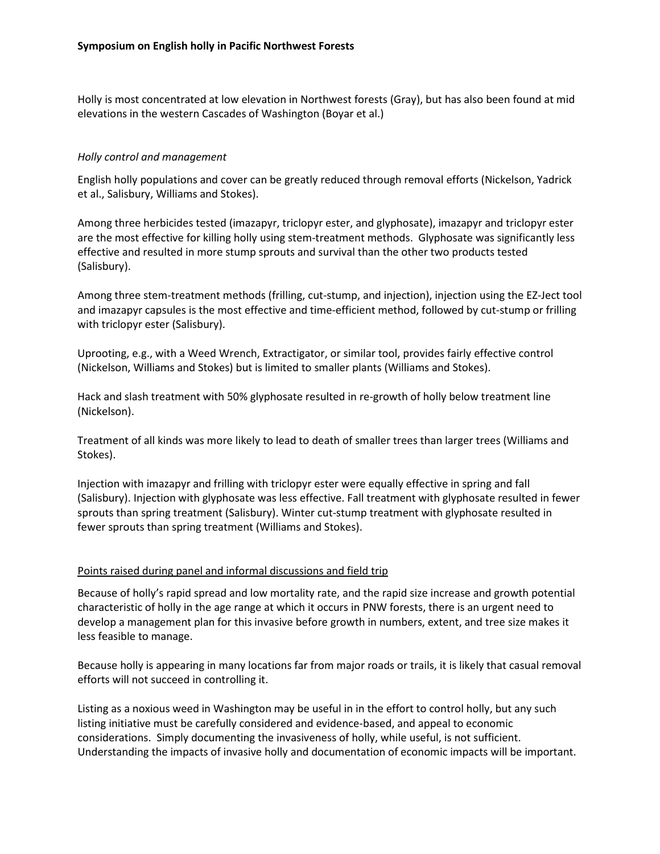Holly is most concentrated at low elevation in Northwest forests (Gray), but has also been found at mid elevations in the western Cascades of Washington (Boyar et al.)

## *Holly control and management*

English holly populations and cover can be greatly reduced through removal efforts (Nickelson, Yadrick et al., Salisbury, Williams and Stokes).

Among three herbicides tested (imazapyr, triclopyr ester, and glyphosate), imazapyr and triclopyr ester are the most effective for killing holly using stem-treatment methods. Glyphosate was significantly less effective and resulted in more stump sprouts and survival than the other two products tested (Salisbury).

Among three stem-treatment methods (frilling, cut-stump, and injection), injection using the EZ-Ject tool and imazapyr capsules is the most effective and time-efficient method, followed by cut-stump or frilling with triclopyr ester (Salisbury).

Uprooting, e.g., with a Weed Wrench, Extractigator, or similar tool, provides fairly effective control (Nickelson, Williams and Stokes) but is limited to smaller plants (Williams and Stokes).

Hack and slash treatment with 50% glyphosate resulted in re-growth of holly below treatment line (Nickelson).

Treatment of all kinds was more likely to lead to death of smaller trees than larger trees (Williams and Stokes).

Injection with imazapyr and frilling with triclopyr ester were equally effective in spring and fall (Salisbury). Injection with glyphosate was less effective. Fall treatment with glyphosate resulted in fewer sprouts than spring treatment (Salisbury). Winter cut-stump treatment with glyphosate resulted in fewer sprouts than spring treatment (Williams and Stokes).

### Points raised during panel and informal discussions and field trip

Because of holly's rapid spread and low mortality rate, and the rapid size increase and growth potential characteristic of holly in the age range at which it occurs in PNW forests, there is an urgent need to develop a management plan for this invasive before growth in numbers, extent, and tree size makes it less feasible to manage.

Because holly is appearing in many locations far from major roads or trails, it is likely that casual removal efforts will not succeed in controlling it.

Listing as a noxious weed in Washington may be useful in in the effort to control holly, but any such listing initiative must be carefully considered and evidence-based, and appeal to economic considerations. Simply documenting the invasiveness of holly, while useful, is not sufficient. Understanding the impacts of invasive holly and documentation of economic impacts will be important.